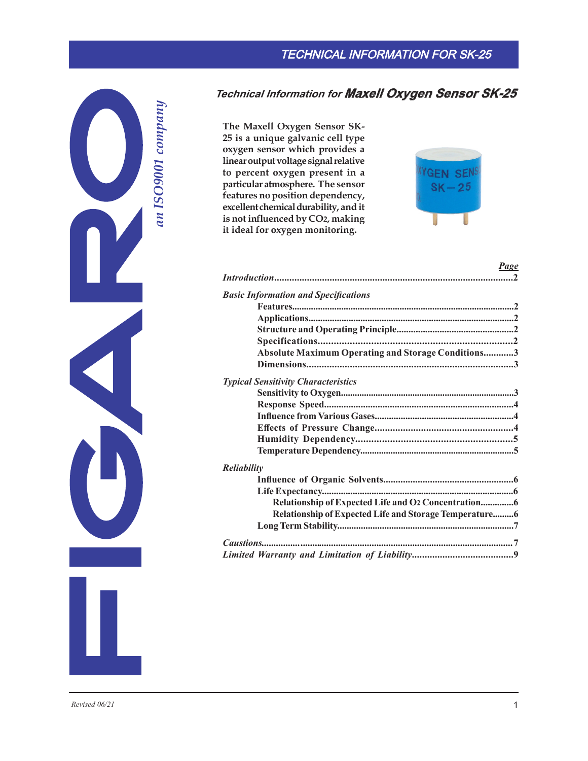# TECHNICAL INFORMATION FOR SK-25



# **Technical Information for Maxell Oxygen Sensor SK-25**

**The Maxell Oxygen Sensor SK-25 is a unique galvanic cell type oxygen sensor which provides a linear output voltage signal relative to percent oxygen present in a particular atmosphere. The sensor features no position dependency, excellent chemical durability, and it is not influenced by CO2, making it ideal for oxygen monitoring.**



# *Page*

| <b>Basic Information and Specifications</b>             |  |
|---------------------------------------------------------|--|
|                                                         |  |
|                                                         |  |
|                                                         |  |
|                                                         |  |
| Absolute Maximum Operating and Storage Conditions3      |  |
|                                                         |  |
| <b>Typical Sensitivity Characteristics</b>              |  |
|                                                         |  |
|                                                         |  |
|                                                         |  |
|                                                         |  |
|                                                         |  |
|                                                         |  |
| Reliability                                             |  |
|                                                         |  |
|                                                         |  |
|                                                         |  |
| Relationship of Expected Life and Storage Temperature 6 |  |
|                                                         |  |
|                                                         |  |
|                                                         |  |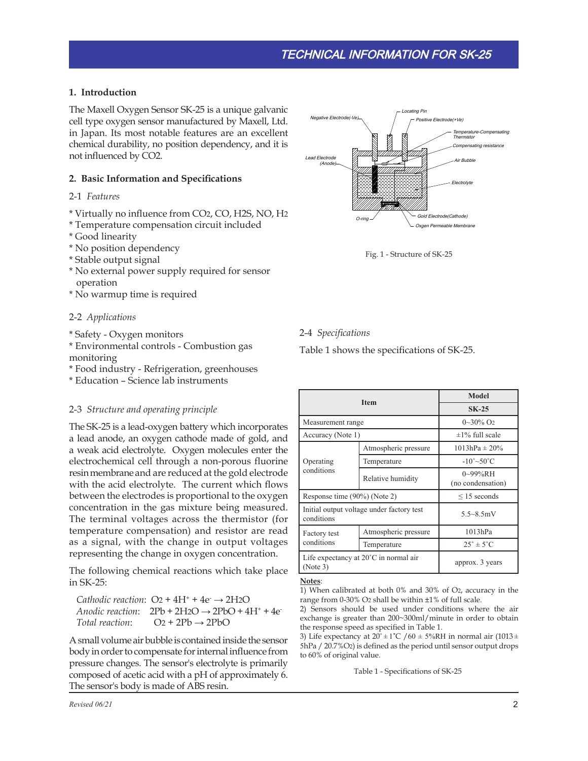# **1. Introduction**

The Maxell Oxygen Sensor SK-25 is a unique galvanic cell type oxygen sensor manufactured by Maxell, Ltd. in Japan. Its most notable features are an excellent chemical durability, no position dependency, and it is not influenced by CO2.

### **2. Basic Information and Specifications**

#### 2-1 *Features*

- \* Virtually no influence from CO2, CO, H2S, NO, H2
- \* Temperature compensation circuit included
- \* Good linearity
- \* No position dependency
- \* Stable output signal
- \* No external power supply required for sensor operation
- \* No warmup time is required

#### 2-2 *Applications*

- \* Safety Oxygen monitors
- \* Environmental controls Combustion gas monitoring
- \* Food industry Refrigeration, greenhouses
- \* Education Science lab instruments

#### 2-3 *Structure and operating principle*

The SK-25 is a lead-oxygen battery which incorporates a lead anode, an oxygen cathode made of gold, and a weak acid electrolyte. Oxygen molecules enter the electrochemical cell through a non-porous fluorine resin membrane and are reduced at the gold electrode with the acid electrolyte. The current which flows between the electrodes is proportional to the oxygen concentration in the gas mixture being measured. The terminal voltages across the thermistor (for temperature compensation) and resistor are read as a signal, with the change in output voltages representing the change in oxygen concentration.

The following chemical reactions which take place in SK-25:

*Cathodic reaction*:  $O_2 + 4H^+ + 4e^- \rightarrow 2H2O$ *Anodic reaction*:  $2Pb + 2H2O \rightarrow 2PbO + 4H^+ + 4e^ Total reaction:$   $O_2 + 2Pb \rightarrow 2PbO$ 

A small volume air bubble is contained inside the sensor body in order to compensate for internal influence from pressure changes. The sensor's electrolyte is primarily composed of acetic acid with a pH of approximately 6. The sensor's body is made of ABS resin.



Fig. 1 - Structure of SK-25

#### 2-4 *Specifications*

Table 1 shows the specifications of SK-25.

|                                                             |                      | Model                               |
|-------------------------------------------------------------|----------------------|-------------------------------------|
| <b>Item</b>                                                 |                      | $SK-25$                             |
| Measurement range                                           |                      | $0\sim 30\%$ O <sub>2</sub>         |
| Accuracy (Note 1)                                           |                      | $\pm 1\%$ full scale                |
| Operating<br>conditions                                     | Atmospheric pressure | $1013hPa \pm 20\%$                  |
|                                                             | Temperature          | $-10^{\circ}$ ~50 $^{\circ}$ C      |
|                                                             | Relative humidity    | $0\sim99\%$ RH<br>(no condensation) |
| Response time (90%) (Note 2)                                |                      | $\leq$ 15 seconds                   |
| Initial output voltage under factory test<br>conditions     |                      | $5.5 - 8.5$ mV                      |
| Factory test<br>conditions                                  | Atmospheric pressure | 1013hPa                             |
|                                                             | Temperature          | $25^\circ \pm 5^\circ \text{C}$     |
| Life expectancy at $20^{\circ}$ C in normal air<br>(Note 3) |                      | approx. 3 years                     |

#### **Notes**:

1) When calibrated at both 0% and 30% of O2, accuracy in the range from 0-30% O2 shall be within ±1% of full scale.

2) Sensors should be used under conditions where the air exchange is greater than 200~300ml/minute in order to obtain the response speed as specified in Table 1.

3) Life expectancy at  $20^\circ \pm 1^\circ \text{C}$  /60  $\pm$  5%RH in normal air (1013 $\pm$ 5hPa / 20.7%O2) is defined as the period until sensor output drops to 60% of original value.

Table 1 - Specifications of SK-25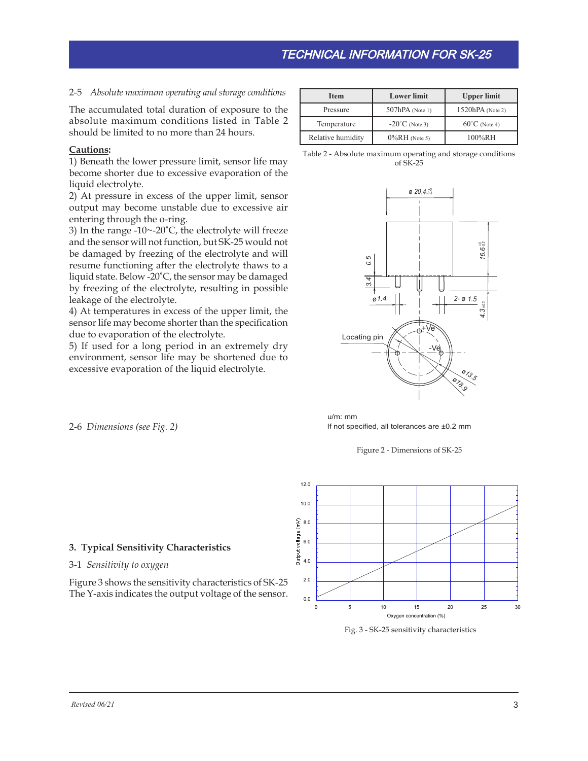# 2-5 *Absolute maximum operating and storage conditions*

The accumulated total duration of exposure to the absolute maximum conditions listed in Table 2 should be limited to no more than 24 hours.

### **Cautions:**

1) Beneath the lower pressure limit, sensor life may become shorter due to excessive evaporation of the liquid electrolyte.

2) At pressure in excess of the upper limit, sensor output may become unstable due to excessive air entering through the o-ring.

3) In the range  $-10$   $-20$ °C, the electrolyte will freeze and the sensor will not function, but SK-25 would not be damaged by freezing of the electrolyte and will resume functioning after the electrolyte thaws to a liquid state. Below -20˚C, the sensor may be damaged by freezing of the electrolyte, resulting in possible leakage of the electrolyte.

4) At temperatures in excess of the upper limit, the sensor life may become shorter than the specification due to evaporation of the electrolyte.

5) If used for a long period in an extremely dry environment, sensor life may be shortened due to excessive evaporation of the liquid electrolyte.

| <b>Item</b>       | <b>Lower</b> limit       | <b>Upper limit</b>      |
|-------------------|--------------------------|-------------------------|
| Pressure          | $507hPA$ (Note 1)        | $1520hPA$ (Note 2)      |
| Temperature       | $-20^{\circ}$ C (Note 3) | $60^{\circ}$ C (Note 4) |
| Relative humidity | $0\%RH$ (Note 5)         | 100%RH                  |

Table 2 - Absolute maximum operating and storage conditions of SK-25



If not specified, all tolerances are ±0.2 mm u/m: mm





Fig. 3 - SK-25 sensitivity characteristics

2-6 *Dimensions (see Fig. 2)*

#### **3. Typical Sensitivity Characteristics**

#### 3-1 *Sensitivity to oxygen*

Figure 3 shows the sensitivity characteristics of SK-25 The Y-axis indicates the output voltage of the sensor.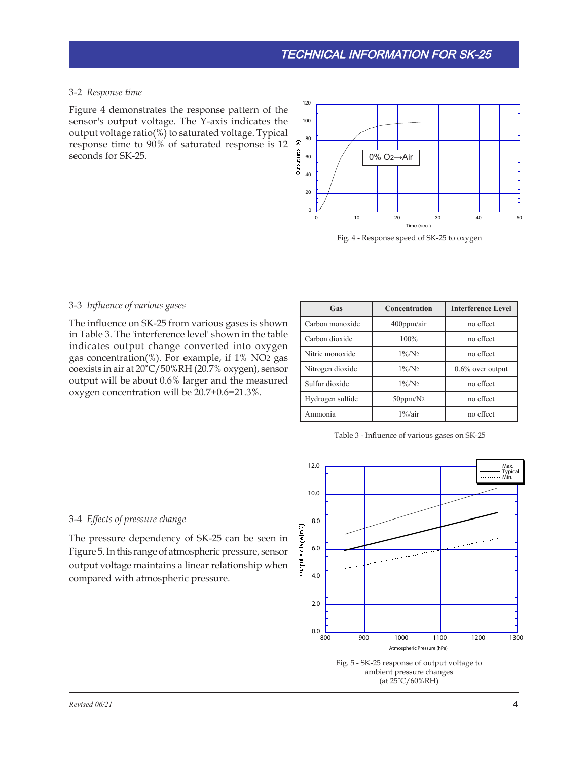# 3-2 *Response time*

Figure 4 demonstrates the response pattern of the sensor's output voltage. The Y-axis indicates the output voltage ratio(%) to saturated voltage. Typical response time to 90% of saturated response is 12 seconds for SK-25.



Fig. 4 - Response speed of SK-25 to oxygen

# 3-3 *Influence of various gases*

The influence on SK-25 from various gases is shown in Table 3. The 'interference level' shown in the table indicates output change converted into oxygen gas concentration(%). For example, if 1% NO2 gas coexists in air at 20˚C/50%RH (20.7% oxygen), sensor output will be about 0.6% larger and the measured oxygen concentration will be 20.7+0.6=21.3%.

| Gas              | Concentration   | <b>Interference Level</b> |
|------------------|-----------------|---------------------------|
| Carbon monoxide  | $400$ ppm/air   | no effect                 |
| Carbon dioxide   | 100%            | no effect                 |
| Nitric monoxide  | $1\%/N_2$       | no effect                 |
| Nitrogen dioxide | $1\%/N_2$       | $0.6\%$ over output       |
| Sulfur dioxide   | $1\%/N_2$       | no effect                 |
| Hydrogen sulfide | $50$ ppm/ $N_2$ | no effect                 |
| Ammonia          | $1\%$ /air      | no effect                 |

Table 3 - Influence of various gases on SK-25

#### 3-4 *Effects of pressure change*

The pressure dependency of SK-25 can be seen in Figure 5. In this range of atmospheric pressure, sensor output voltage maintains a linear relationship when compared with atmospheric pressure.

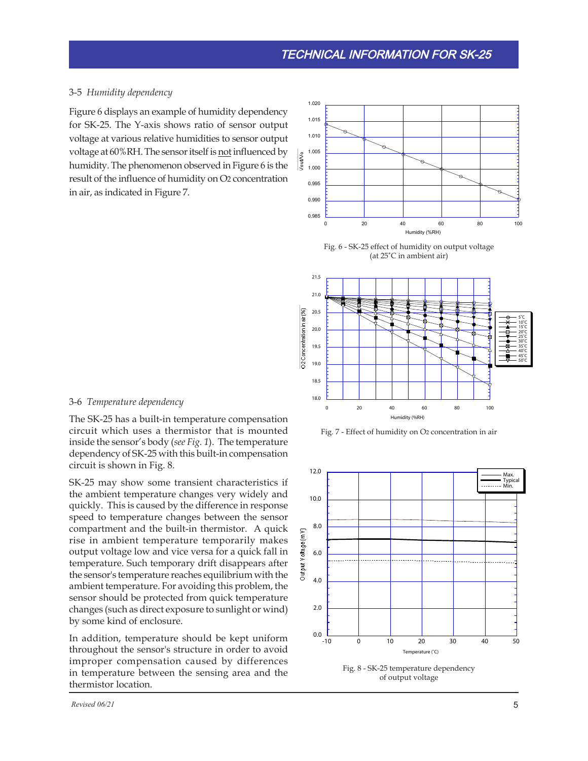#### 3-5 *Humidity dependency*

Figure 6 displays an example of humidity dependency for SK-25. The Y-axis shows ratio of sensor output voltage at various relative humidities to sensor output voltage at 60%RH. The sensor itself is not influenced by humidity. The phenomenon observed in Figure 6 is the result of the influence of humidity on O2 concentration in air, as indicated in Figure 7.







Fig. 7 - Effect of humidity on O2 concentration in air



of output voltage

#### 3-6 *Temperature dependency*

The SK-25 has a built-in temperature compensation circuit which uses a thermistor that is mounted inside the sensor's body (*see Fig. 1*). The temperature dependency of SK-25 with this built-in compensation circuit is shown in Fig. 8.

SK-25 may show some transient characteristics if the ambient temperature changes very widely and quickly. This is caused by the difference in response speed to temperature changes between the sensor compartment and the built-in thermistor. A quick rise in ambient temperature temporarily makes output voltage low and vice versa for a quick fall in temperature. Such temporary drift disappears after the sensor's temperature reaches equilibrium with the ambient temperature. For avoiding this problem, the sensor should be protected from quick temperature changes (such as direct exposure to sunlight or wind) by some kind of enclosure.

In addition, temperature should be kept uniform throughout the sensor's structure in order to avoid improper compensation caused by differences in temperature between the sensing area and the thermistor location.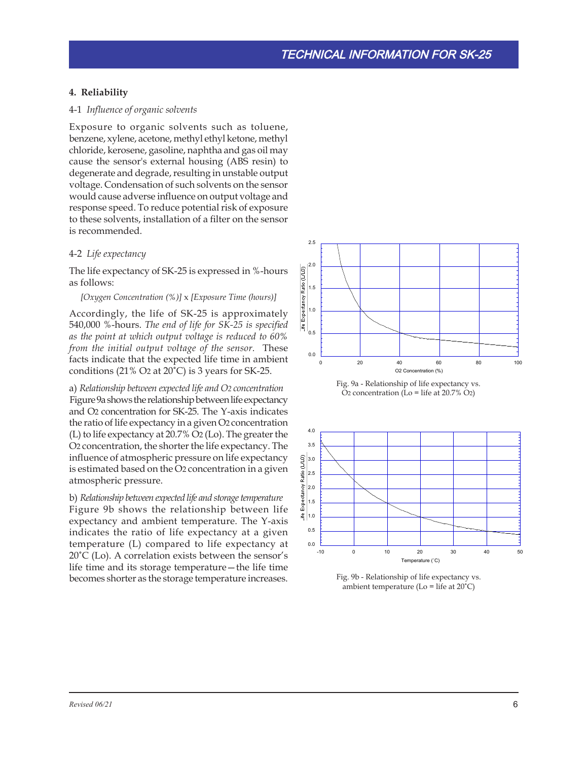#### **4. Reliability**

#### 4-1 *Influence of organic solvents*

Exposure to organic solvents such as toluene, benzene, xylene, acetone, methyl ethyl ketone, methyl chloride, kerosene, gasoline, naphtha and gas oil may cause the sensor's external housing (ABS resin) to degenerate and degrade, resulting in unstable output voltage. Condensation of such solvents on the sensor would cause adverse influence on output voltage and response speed. To reduce potential risk of exposure to these solvents, installation of a filter on the sensor is recommended.

#### 4-2 *Life expectancy*

The life expectancy of SK-25 is expressed in %-hours as follows:

#### *[Oxygen Concentration (%)]* x *[Exposure Time (hours)]*

Accordingly, the life of SK-25 is approximately 540,000 %-hours. *The end of life for SK-25 is specified as the point at which output voltage is reduced to 60% from the initial output voltage of the sensor.* These facts indicate that the expected life time in ambient conditions (21% O2 at 20˚C) is 3 years for SK-25.

a) *Relationship between expected life and O2 concentration* Figure 9a shows the relationship between life expectancy and O2 concentration for SK-25. The Y-axis indicates the ratio of life expectancy in a given O2 concentration (L) to life expectancy at 20.7% O2 (Lo). The greater the O2 concentration, the shorter the life expectancy. The influence of atmospheric pressure on life expectancy is estimated based on the O2 concentration in a given atmospheric pressure.

b) *Relationship between expected life and storage temperature* Figure 9b shows the relationship between life expectancy and ambient temperature. The Y-axis indicates the ratio of life expectancy at a given temperature (L) compared to life expectancy at 20˚C (Lo). A correlation exists between the sensor's life time and its storage temperature—the life time becomes shorter as the storage temperature increases.







Fig. 9b - Relationship of life expectancy vs. ambient temperature ( $Lo = life$  at  $20°C$ )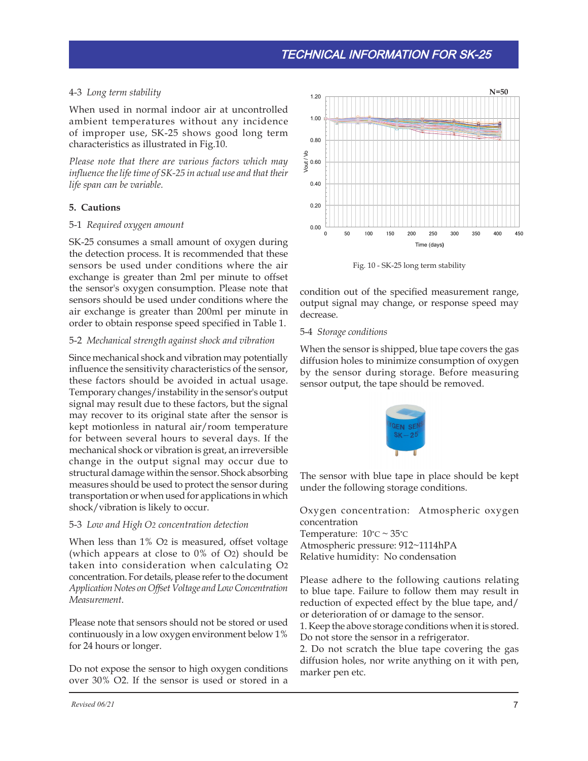# 4-3 *Long term stability*

When used in normal indoor air at uncontrolled ambient temperatures without any incidence of improper use, SK-25 shows good long term characteristics as illustrated in Fig.10.

*Please note that there are various factors which may influence the life time of SK-25 in actual use and that their life span can be variable.*

# **5. Cautions**

# 5-1 *Required oxygen amount*

SK-25 consumes a small amount of oxygen during the detection process. It is recommended that these sensors be used under conditions where the air exchange is greater than 2ml per minute to offset the sensor's oxygen consumption. Please note that sensors should be used under conditions where the air exchange is greater than 200ml per minute in order to obtain response speed specified in Table 1.

# 5-2 *Mechanical strength against shock and vibration*

Since mechanical shock and vibration may potentially influence the sensitivity characteristics of the sensor, these factors should be avoided in actual usage. Temporary changes/instability in the sensor's output signal may result due to these factors, but the signal may recover to its original state after the sensor is kept motionless in natural air/room temperature for between several hours to several days. If the mechanical shock or vibration is great, an irreversible change in the output signal may occur due to structural damage within the sensor. Shock absorbing measures should be used to protect the sensor during transportation or when used for applications in which shock/vibration is likely to occur.

#### 5-3 *Low and High O2 concentration detection*

When less than 1% O2 is measured, offset voltage (which appears at close to 0% of O2) should be taken into consideration when calculating O2 concentration. For details, please refer to the document *Application Notes on Offset Voltage and Low Concentration Measurement*.

Please note that sensors should not be stored or used continuously in a low oxygen environment below 1% for 24 hours or longer.

Do not expose the sensor to high oxygen conditions over 30% O2. If the sensor is used or stored in a



Fig. 10 - SK-25 long term stability

condition out of the specified measurement range, output signal may change, or response speed may decrease.

#### 5-4 *Storage conditions*

When the sensor is shipped, blue tape covers the gas diffusion holes to minimize consumption of oxygen by the sensor during storage. Before measuring sensor output, the tape should be removed.



The sensor with blue tape in place should be kept under the following storage conditions.

Oxygen concentration: Atmospheric oxygen concentration

Temperature:  $10^{\circ}$ C ~  $35^{\circ}$ C Atmospheric pressure: 912~1114hPA Relative humidity: No condensation

Please adhere to the following cautions relating to blue tape. Failure to follow them may result in reduction of expected effect by the blue tape, and/ or deterioration of or damage to the sensor.

1. Keep the above storage conditions when it is stored. Do not store the sensor in a refrigerator.

2. Do not scratch the blue tape covering the gas diffusion holes, nor write anything on it with pen, marker pen etc.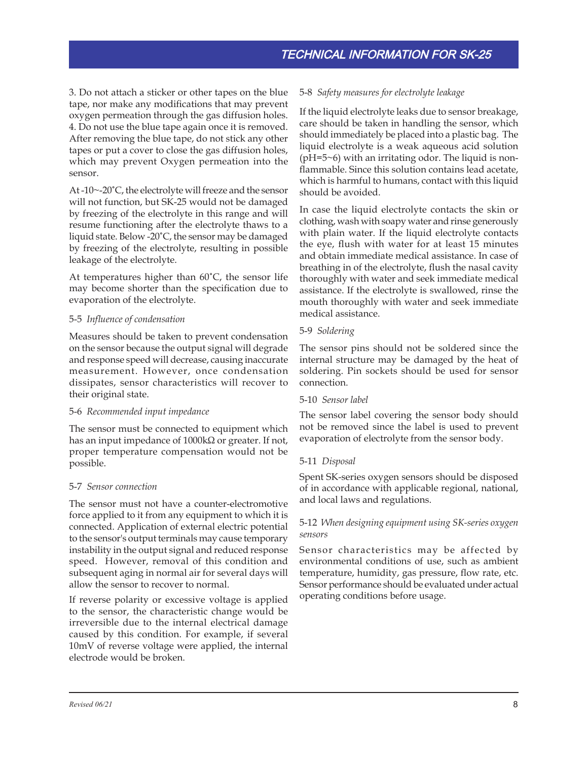3. Do not attach a sticker or other tapes on the blue tape, nor make any modifications that may prevent oxygen permeation through the gas diffusion holes. 4. Do not use the blue tape again once it is removed. After removing the blue tape, do not stick any other tapes or put a cover to close the gas diffusion holes, which may prevent Oxygen permeation into the sensor.

At -10~-20˚C, the electrolyte will freeze and the sensor will not function, but SK-25 would not be damaged by freezing of the electrolyte in this range and will resume functioning after the electrolyte thaws to a liquid state. Below -20˚C, the sensor may be damaged by freezing of the electrolyte, resulting in possible leakage of the electrolyte.

At temperatures higher than 60˚C, the sensor life may become shorter than the specification due to evaporation of the electrolyte.

# 5-5 *Influence of condensation*

Measures should be taken to prevent condensation on the sensor because the output signal will degrade and response speed will decrease, causing inaccurate measurement. However, once condensation dissipates, sensor characteristics will recover to their original state.

#### 5-6 *Recommended input impedance*

The sensor must be connected to equipment which has an input impedance of 1000kΩ or greater. If not, proper temperature compensation would not be possible.

# 5-7 *Sensor connection*

The sensor must not have a counter-electromotive force applied to it from any equipment to which it is connected. Application of external electric potential to the sensor's output terminals may cause temporary instability in the output signal and reduced response speed. However, removal of this condition and subsequent aging in normal air for several days will allow the sensor to recover to normal.

If reverse polarity or excessive voltage is applied to the sensor, the characteristic change would be irreversible due to the internal electrical damage caused by this condition. For example, if several 10mV of reverse voltage were applied, the internal electrode would be broken.

# 5-8 *Safety measures for electrolyte leakage*

If the liquid electrolyte leaks due to sensor breakage, care should be taken in handling the sensor, which should immediately be placed into a plastic bag. The liquid electrolyte is a weak aqueous acid solution (pH=5~6) with an irritating odor. The liquid is nonflammable. Since this solution contains lead acetate, which is harmful to humans, contact with this liquid should be avoided.

In case the liquid electrolyte contacts the skin or clothing, wash with soapy water and rinse generously with plain water. If the liquid electrolyte contacts the eye, flush with water for at least 15 minutes and obtain immediate medical assistance. In case of breathing in of the electrolyte, flush the nasal cavity thoroughly with water and seek immediate medical assistance. If the electrolyte is swallowed, rinse the mouth thoroughly with water and seek immediate medical assistance.

# 5-9 *Soldering*

The sensor pins should not be soldered since the internal structure may be damaged by the heat of soldering. Pin sockets should be used for sensor connection.

#### 5-10 *Sensor label*

The sensor label covering the sensor body should not be removed since the label is used to prevent evaporation of electrolyte from the sensor body.

# 5-11 *Disposal*

Spent SK-series oxygen sensors should be disposed of in accordance with applicable regional, national, and local laws and regulations.

# 5-12 *When designing equipment using SK-series oxygen sensors*

Sensor characteristics may be affected by environmental conditions of use, such as ambient temperature, humidity, gas pressure, flow rate, etc. Sensor performance should be evaluated under actual operating conditions before usage.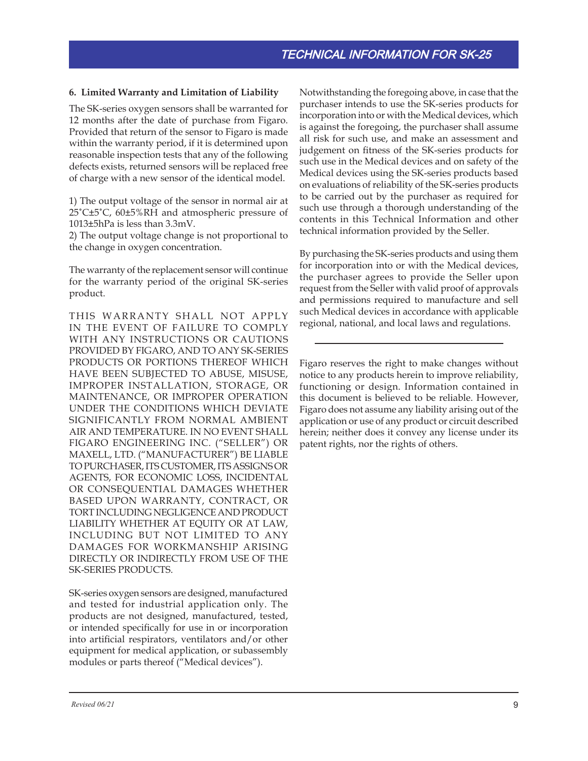# **6. Limited Warranty and Limitation of Liability**

The SK-series oxygen sensors shall be warranted for 12 months after the date of purchase from Figaro. Provided that return of the sensor to Figaro is made within the warranty period, if it is determined upon reasonable inspection tests that any of the following defects exists, returned sensors will be replaced free of charge with a new sensor of the identical model.

1) The output voltage of the sensor in normal air at 25˚C±5˚C, 60±5%RH and atmospheric pressure of 1013±5hPa is less than 3.3mV.

2) The output voltage change is not proportional to the change in oxygen concentration.

The warranty of the replacement sensor will continue for the warranty period of the original SK-series product.

THIS WARRANTY SHALL NOT APPLY IN THE EVENT OF FAILURE TO COMPLY WITH ANY INSTRUCTIONS OR CAUTIONS PROVIDED BY FIGARO, AND TO ANY SK-SERIES PRODUCTS OR PORTIONS THEREOF WHICH HAVE BEEN SUBJECTED TO ABUSE, MISUSE, IMPROPER INSTALLATION, STORAGE, OR MAINTENANCE, OR IMPROPER OPERATION UNDER THE CONDITIONS WHICH DEVIATE SIGNIFICANTLY FROM NORMAL AMBIENT AIR AND TEMPERATURE. IN NO EVENT SHALL FIGARO ENGINEERING INC. ("SELLER") OR MAXELL, LTD. ("MANUFACTURER") BE LIABLE TO PURCHASER, ITS CUSTOMER, ITS ASSIGNS OR AGENTS, FOR ECONOMIC LOSS, INCIDENTAL OR CONSEQUENTIAL DAMAGES WHETHER BASED UPON WARRANTY, CONTRACT, OR TORT INCLUDING NEGLIGENCE AND PRODUCT LIABILITY WHETHER AT EQUITY OR AT LAW, INCLUDING BUT NOT LIMITED TO ANY DAMAGES FOR WORKMANSHIP ARISING DIRECTLY OR INDIRECTLY FROM USE OF THE SK-SERIES PRODUCTS.

SK-series oxygen sensors are designed, manufactured and tested for industrial application only. The products are not designed, manufactured, tested, or intended specifically for use in or incorporation into artificial respirators, ventilators and/or other equipment for medical application, or subassembly modules or parts thereof ("Medical devices").

Notwithstanding the foregoing above, in case that the purchaser intends to use the SK-series products for incorporation into or with the Medical devices, which is against the foregoing, the purchaser shall assume all risk for such use, and make an assessment and judgement on fitness of the SK-series products for such use in the Medical devices and on safety of the Medical devices using the SK-series products based on evaluations of reliability of the SK-series products to be carried out by the purchaser as required for such use through a thorough understanding of the contents in this Technical Information and other technical information provided by the Seller.

By purchasing the SK-series products and using them for incorporation into or with the Medical devices, the purchaser agrees to provide the Seller upon request from the Seller with valid proof of approvals and permissions required to manufacture and sell such Medical devices in accordance with applicable regional, national, and local laws and regulations.

Figaro reserves the right to make changes without notice to any products herein to improve reliability, functioning or design. Information contained in this document is believed to be reliable. However, Figaro does not assume any liability arising out of the application or use of any product or circuit described herein; neither does it convey any license under its patent rights, nor the rights of others.